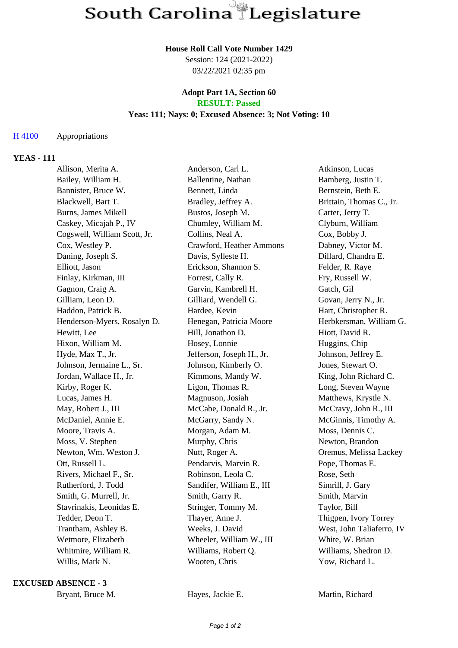#### **House Roll Call Vote Number 1429**

Session: 124 (2021-2022) 03/22/2021 02:35 pm

#### **Adopt Part 1A, Section 60 RESULT: Passed**

# **Yeas: 111; Nays: 0; Excused Absence: 3; Not Voting: 10**

## H 4100 Appropriations

## **YEAS - 111**

| Allison, Merita A.           |  | Anderson, Carl L.         | Atkinson, Lucas           |
|------------------------------|--|---------------------------|---------------------------|
| Bailey, William H.           |  | Ballentine, Nathan        | Bamberg, Justin T.        |
| Bannister, Bruce W.          |  | Bennett, Linda            | Bernstein, Beth E.        |
| Blackwell, Bart T.           |  | Bradley, Jeffrey A.       | Brittain, Thomas C., Jr.  |
| Burns, James Mikell          |  | Bustos, Joseph M.         | Carter, Jerry T.          |
| Caskey, Micajah P., IV       |  | Chumley, William M.       | Clyburn, William          |
| Cogswell, William Scott, Jr. |  | Collins, Neal A.          | Cox, Bobby J.             |
| Cox, Westley P.              |  | Crawford, Heather Ammons  | Dabney, Victor M.         |
| Daning, Joseph S.            |  | Davis, Sylleste H.        | Dillard, Chandra E.       |
| Elliott, Jason               |  | Erickson, Shannon S.      | Felder, R. Raye           |
| Finlay, Kirkman, III         |  | Forrest, Cally R.         | Fry, Russell W.           |
| Gagnon, Craig A.             |  | Garvin, Kambrell H.       | Gatch, Gil                |
| Gilliam, Leon D.             |  | Gilliard, Wendell G.      | Govan, Jerry N., Jr.      |
| Haddon, Patrick B.           |  | Hardee, Kevin             | Hart, Christopher R.      |
| Henderson-Myers, Rosalyn D.  |  | Henegan, Patricia Moore   | Herbkersman, William G.   |
| Hewitt, Lee                  |  | Hill, Jonathon D.         | Hiott, David R.           |
| Hixon, William M.            |  | Hosey, Lonnie             | Huggins, Chip             |
| Hyde, Max T., Jr.            |  | Jefferson, Joseph H., Jr. | Johnson, Jeffrey E.       |
| Johnson, Jermaine L., Sr.    |  | Johnson, Kimberly O.      | Jones, Stewart O.         |
| Jordan, Wallace H., Jr.      |  | Kimmons, Mandy W.         | King, John Richard C.     |
| Kirby, Roger K.              |  | Ligon, Thomas R.          | Long, Steven Wayne        |
| Lucas, James H.              |  | Magnuson, Josiah          | Matthews, Krystle N.      |
| May, Robert J., III          |  | McCabe, Donald R., Jr.    | McCravy, John R., III     |
| McDaniel, Annie E.           |  | McGarry, Sandy N.         | McGinnis, Timothy A.      |
| Moore, Travis A.             |  | Morgan, Adam M.           | Moss, Dennis C.           |
| Moss, V. Stephen             |  | Murphy, Chris             | Newton, Brandon           |
| Newton, Wm. Weston J.        |  | Nutt, Roger A.            | Oremus, Melissa Lackey    |
| Ott, Russell L.              |  | Pendarvis, Marvin R.      | Pope, Thomas E.           |
| Rivers, Michael F., Sr.      |  | Robinson, Leola C.        | Rose, Seth                |
| Rutherford, J. Todd          |  | Sandifer, William E., III | Simrill, J. Gary          |
| Smith, G. Murrell, Jr.       |  | Smith, Garry R.           | Smith, Marvin             |
| Stavrinakis, Leonidas E.     |  | Stringer, Tommy M.        | Taylor, Bill              |
| Tedder, Deon T.              |  | Thayer, Anne J.           | Thigpen, Ivory Torrey     |
| Trantham, Ashley B.          |  | Weeks, J. David           | West, John Taliaferro, IV |
| Wetmore, Elizabeth           |  | Wheeler, William W., III  | White, W. Brian           |
| Whitmire, William R.         |  | Williams, Robert Q.       | Williams, Shedron D.      |
| Willis, Mark N.              |  | Wooten, Chris             | Yow, Richard L.           |

**EXCUSED ABSENCE - 3**

Bryant, Bruce M. **Hayes, Jackie E.** Martin, Richard